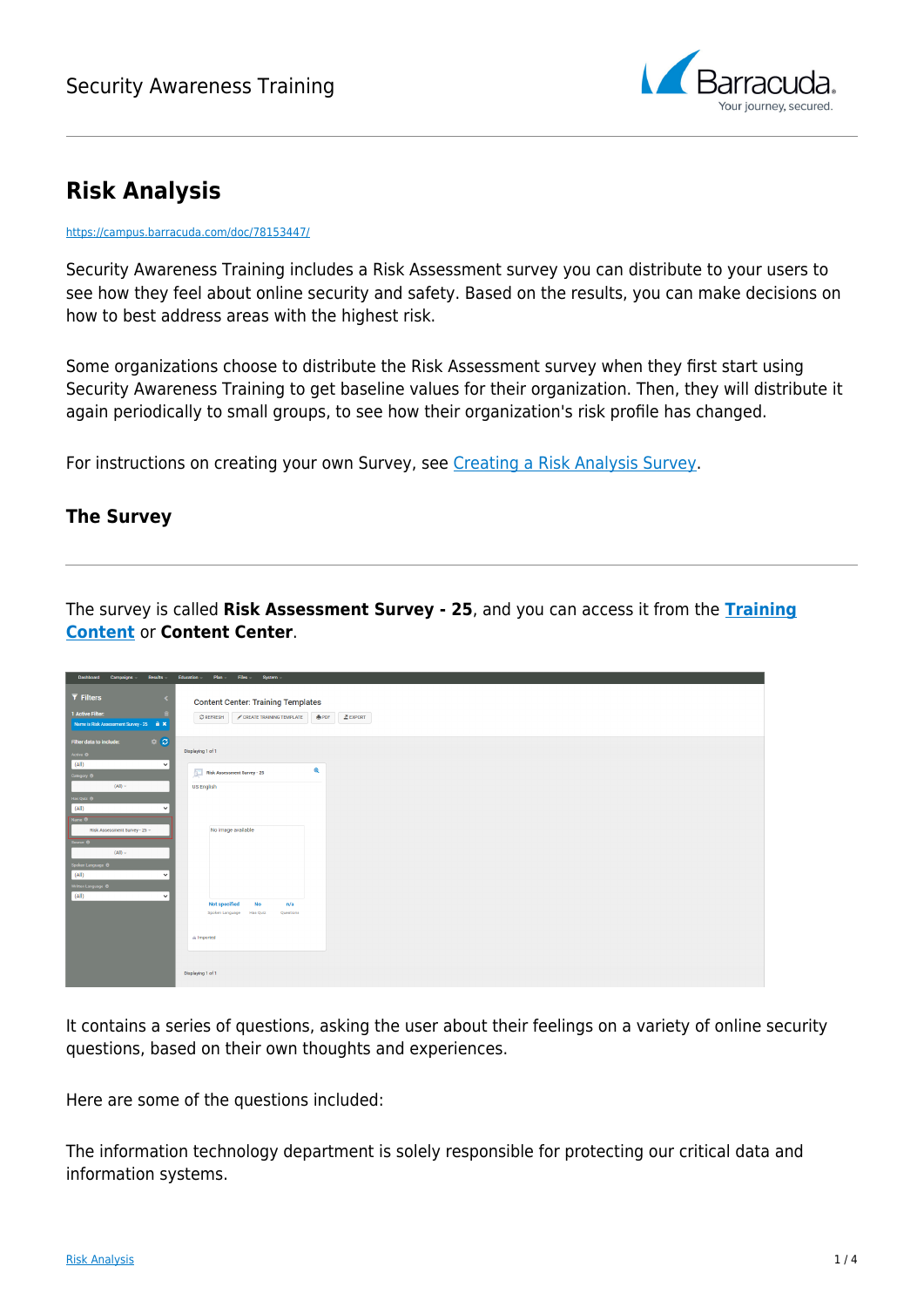

# **Risk Analysis**

#### <https://campus.barracuda.com/doc/78153447/>

Security Awareness Training includes a Risk Assessment survey you can distribute to your users to see how they feel about online security and safety. Based on the results, you can make decisions on how to best address areas with the highest risk.

Some organizations choose to distribute the Risk Assessment survey when they first start using Security Awareness Training to get baseline values for their organization. Then, they will distribute it again periodically to small groups, to see how their organization's risk profile has changed.

For instructions on creating your own Survey, see [Creating a Risk Analysis Survey.](http://campus.barracuda.com/doc/86541064/)

### **The Survey**

The survey is called **Risk Assessment Survey - 25**, and you can access it from the **[Training](http://campus.barracuda.com/doc/78153445/) [Content](http://campus.barracuda.com/doc/78153445/)** or **Content Center**.

| Dashboard Campaigns<br><b>Results</b>                                                                                             | Education -<br>Plan -<br>Files System -                                                                                       |
|-----------------------------------------------------------------------------------------------------------------------------------|-------------------------------------------------------------------------------------------------------------------------------|
| $\overline{\mathbf{Y}}$ Filters<br>$\overline{\phantom{a}}$<br>1 Active Filter:<br>Name is Risk Assessment Survey - 25 <b>a</b> X | <b>Content Center: Training Templates</b><br>$\mathfrak{S}$ REFRESH<br>CREATE TRAINING TEMPLATE<br><b>A</b> PDF<br>$E$ EXPORT |
| $\Leftrightarrow$ $\Box$<br>Filter data to include:<br>Active <sup>O</sup><br>(AII)<br>$\checkmark$                               | Displaying 1 of 1                                                                                                             |
| Category <sup>@</sup>                                                                                                             | $\mathbf{\mathbf{Q}}$<br><b>F</b><br><b>Risk Assessment Survey - 25</b>                                                       |
| $(AII)$ -<br>Has Quiz <sup>@</sup><br>(AII)<br>$\check{~}$<br>Name <sup>O</sup><br>Risk Assessment Survey - 25 -                  | <b>US English</b><br>No image available                                                                                       |
| Source <b>0</b><br>$(AII) -$<br>Spoken Language @<br>(AII)<br>$\checkmark$<br>Written Language <sup>@</sup><br>(AII)<br>$\vee$    |                                                                                                                               |
|                                                                                                                                   | <b>Not specified</b><br>No<br>n/a<br>Spoken Language Has Quiz<br>Questions                                                    |
|                                                                                                                                   | di Imported                                                                                                                   |
|                                                                                                                                   | Displaying 1 of 1                                                                                                             |

It contains a series of questions, asking the user about their feelings on a variety of online security questions, based on their own thoughts and experiences.

Here are some of the questions included:

The information technology department is solely responsible for protecting our critical data and information systems.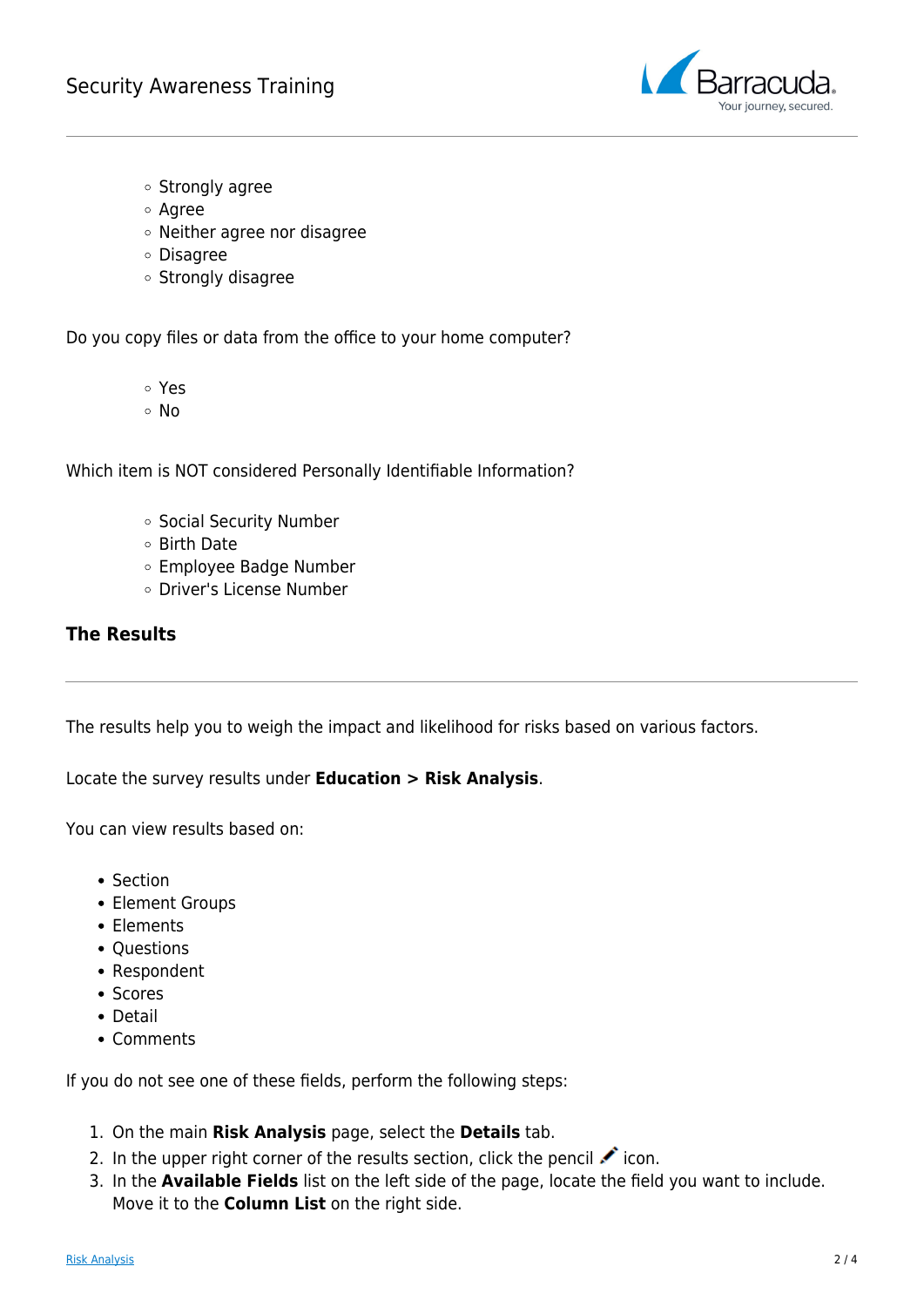

- o Strongly agree
- Agree
- Neither agree nor disagree
- Disagree
- Strongly disagree

Do you copy files or data from the office to your home computer?

- Yes
- No

Which item is NOT considered Personally Identifiable Information?

- o Social Security Number
- Birth Date
- Employee Badge Number
- Driver's License Number

#### **The Results**

The results help you to weigh the impact and likelihood for risks based on various factors.

Locate the survey results under **Education > Risk Analysis**.

You can view results based on:

- Section
- Element Groups
- Elements
- Ouestions
- Respondent
- Scores
- Detail
- Comments

If you do not see one of these fields, perform the following steps:

- 1. On the main **Risk Analysis** page, select the **Details** tab.
- 2. In the upper right corner of the results section, click the pencil  $\cdot$  icon.
- 3. In the **Available Fields** list on the left side of the page, locate the field you want to include. Move it to the **Column List** on the right side.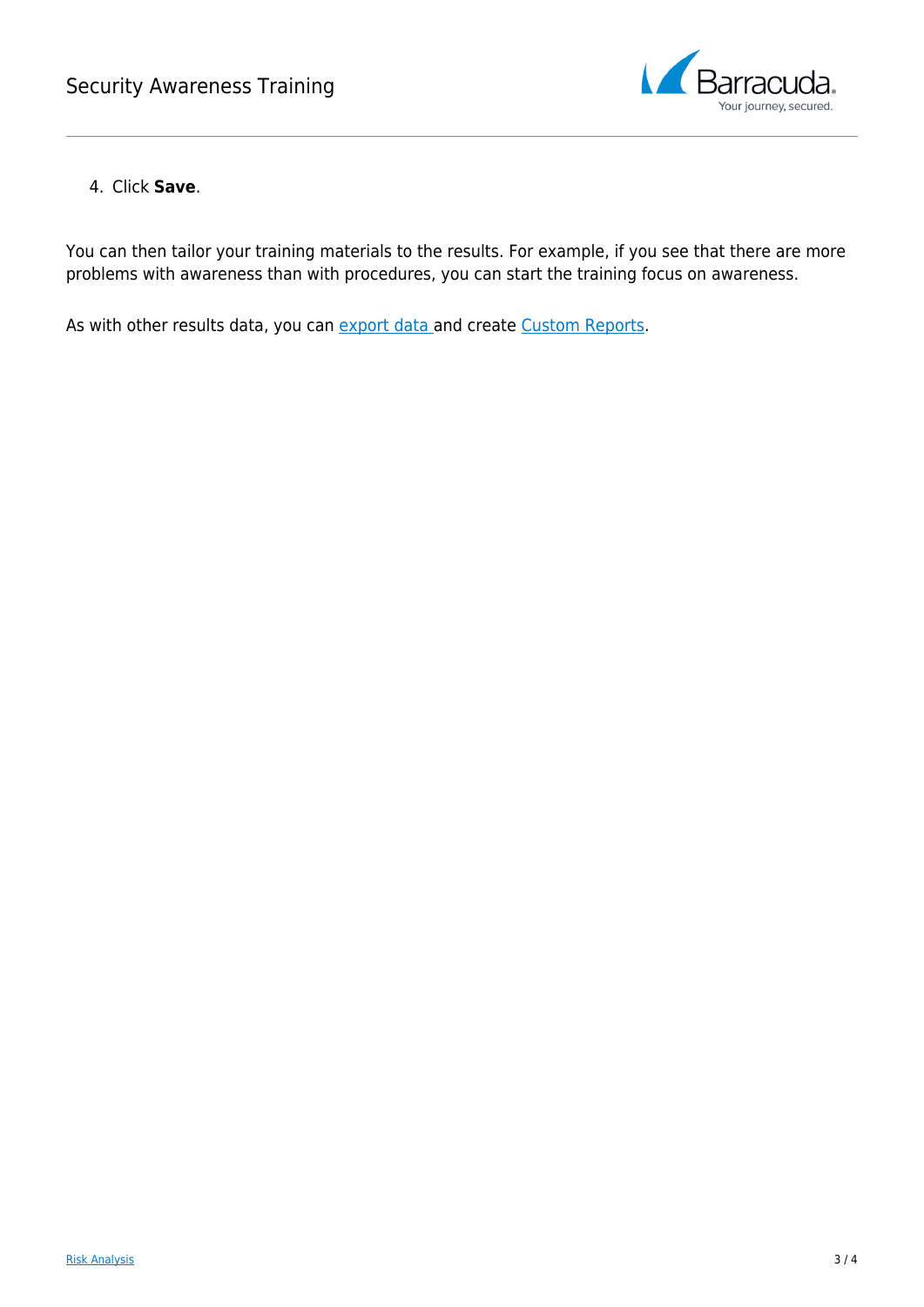

### 4. Click **Save**.

You can then tailor your training materials to the results. For example, if you see that there are more problems with awareness than with procedures, you can start the training focus on awareness.

As with other results data, you can [export data](http://campus.barracuda.com/doc/77399112/) and create [Custom Reports](http://campus.barracuda.com/doc/77399234/).